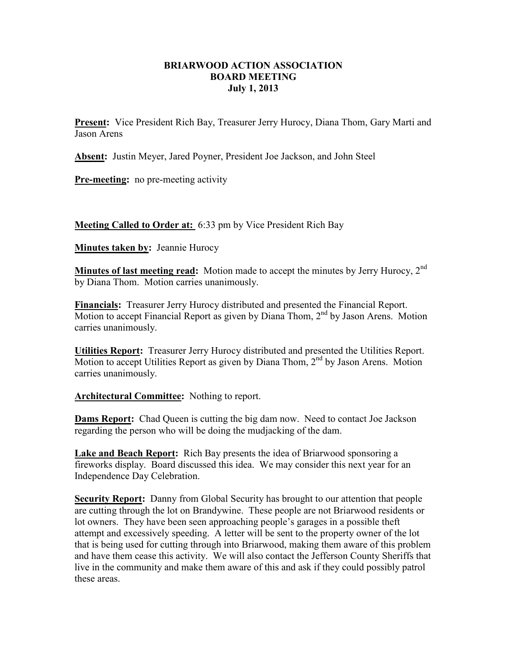## **BRIARWOOD ACTION ASSOCIATION BOARD MEETING July 1, 2013**

**Present:** Vice President Rich Bay, Treasurer Jerry Hurocy, Diana Thom, Gary Marti and Jason Arens

**Absent:** Justin Meyer, Jared Poyner, President Joe Jackson, and John Steel

**Pre-meeting:** no pre-meeting activity

**Meeting Called to Order at:** 6:33 pm by Vice President Rich Bay

**Minutes taken by:** Jeannie Hurocy

**Minutes of last meeting read:** Motion made to accept the minutes by Jerry Hurocy, 2<sup>nd</sup> by Diana Thom. Motion carries unanimously.

**Financials:** Treasurer Jerry Hurocy distributed and presented the Financial Report. Motion to accept Financial Report as given by Diana Thom,  $2<sup>nd</sup>$  by Jason Arens. Motion carries unanimously.

**Utilities Report:** Treasurer Jerry Hurocy distributed and presented the Utilities Report. Motion to accept Utilities Report as given by Diana Thom,  $2<sup>nd</sup>$  by Jason Arens. Motion carries unanimously.

**Architectural Committee:** Nothing to report.

**Dams Report:** Chad Queen is cutting the big dam now. Need to contact Joe Jackson regarding the person who will be doing the mudjacking of the dam.

**Lake and Beach Report:** Rich Bay presents the idea of Briarwood sponsoring a fireworks display. Board discussed this idea. We may consider this next year for an Independence Day Celebration.

**Security Report:** Danny from Global Security has brought to our attention that people are cutting through the lot on Brandywine. These people are not Briarwood residents or lot owners. They have been seen approaching people's garages in a possible theft attempt and excessively speeding. A letter will be sent to the property owner of the lot that is being used for cutting through into Briarwood, making them aware of this problem and have them cease this activity. We will also contact the Jefferson County Sheriffs that live in the community and make them aware of this and ask if they could possibly patrol these areas.